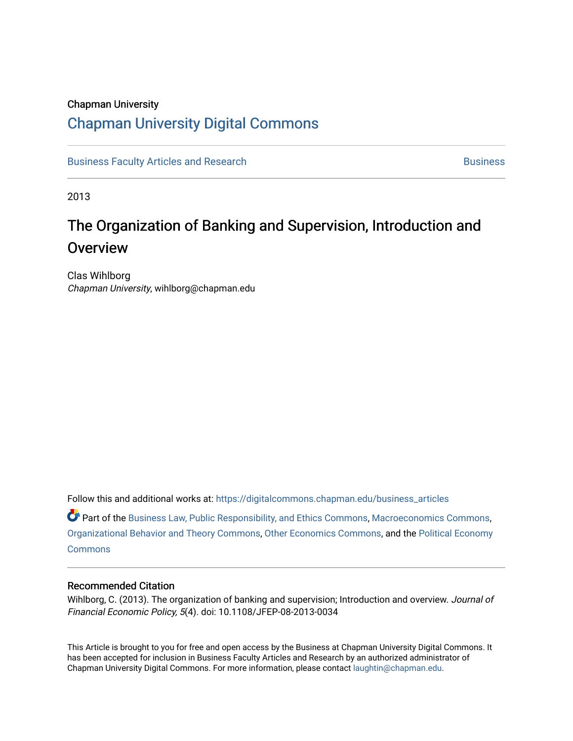### Chapman University

## [Chapman University Digital Commons](https://digitalcommons.chapman.edu/)

[Business Faculty Articles and Research](https://digitalcommons.chapman.edu/business_articles) [Business](https://digitalcommons.chapman.edu/business) **Business** Business

2013

# The Organization of Banking and Supervision, Introduction and **Overview**

Clas Wihlborg Chapman University, wihlborg@chapman.edu

Follow this and additional works at: [https://digitalcommons.chapman.edu/business\\_articles](https://digitalcommons.chapman.edu/business_articles?utm_source=digitalcommons.chapman.edu%2Fbusiness_articles%2F42&utm_medium=PDF&utm_campaign=PDFCoverPages) 

Part of the [Business Law, Public Responsibility, and Ethics Commons](http://network.bepress.com/hgg/discipline/628?utm_source=digitalcommons.chapman.edu%2Fbusiness_articles%2F42&utm_medium=PDF&utm_campaign=PDFCoverPages), [Macroeconomics Commons,](http://network.bepress.com/hgg/discipline/350?utm_source=digitalcommons.chapman.edu%2Fbusiness_articles%2F42&utm_medium=PDF&utm_campaign=PDFCoverPages) [Organizational Behavior and Theory Commons](http://network.bepress.com/hgg/discipline/639?utm_source=digitalcommons.chapman.edu%2Fbusiness_articles%2F42&utm_medium=PDF&utm_campaign=PDFCoverPages), [Other Economics Commons,](http://network.bepress.com/hgg/discipline/353?utm_source=digitalcommons.chapman.edu%2Fbusiness_articles%2F42&utm_medium=PDF&utm_campaign=PDFCoverPages) and the [Political Economy](http://network.bepress.com/hgg/discipline/352?utm_source=digitalcommons.chapman.edu%2Fbusiness_articles%2F42&utm_medium=PDF&utm_campaign=PDFCoverPages)  **[Commons](http://network.bepress.com/hgg/discipline/352?utm_source=digitalcommons.chapman.edu%2Fbusiness_articles%2F42&utm_medium=PDF&utm_campaign=PDFCoverPages)** 

#### Recommended Citation

Wihlborg, C. (2013). The organization of banking and supervision; Introduction and overview. Journal of Financial Economic Policy, 5(4). doi: 10.1108/JFEP-08-2013-0034

This Article is brought to you for free and open access by the Business at Chapman University Digital Commons. It has been accepted for inclusion in Business Faculty Articles and Research by an authorized administrator of Chapman University Digital Commons. For more information, please contact [laughtin@chapman.edu](mailto:laughtin@chapman.edu).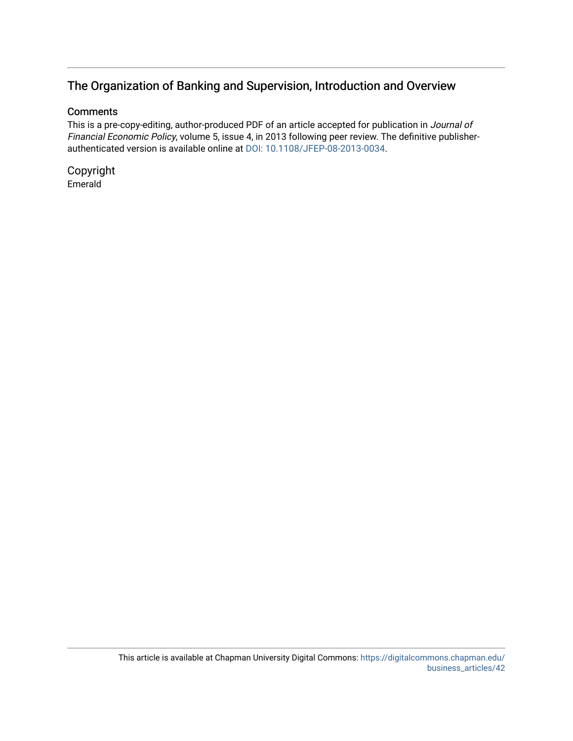### The Organization of Banking and Supervision, Introduction and Overview

#### **Comments**

This is a pre-copy-editing, author-produced PDF of an article accepted for publication in Journal of Financial Economic Policy, volume 5, issue 4, in 2013 following peer review. The definitive publisherauthenticated version is available online at [DOI: 10.1108/JFEP-08-2013-0034.](http://dx.doi.org/10.1108/JFEP-08-2013-0034)

Copyright Emerald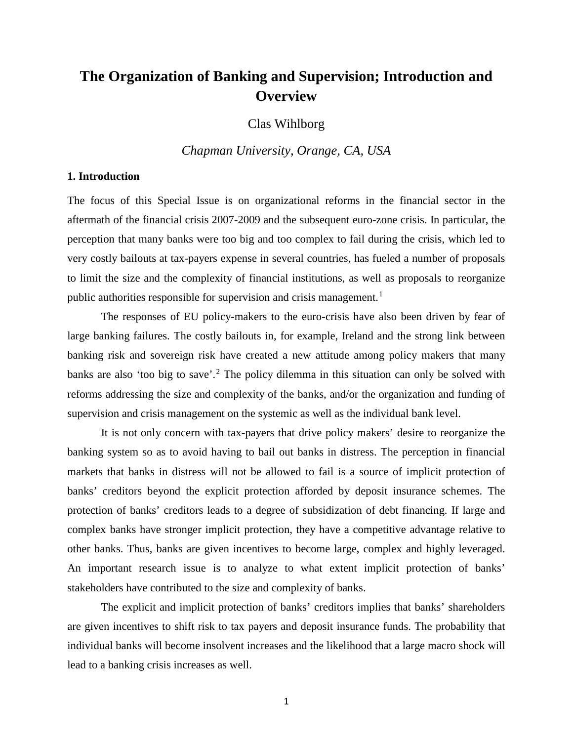# **The Organization of Banking and Supervision; Introduction and Overview**

Clas Wihlborg

*Chapman University, Orange, CA, USA*

#### **1. Introduction**

The focus of this Special Issue is on organizational reforms in the financial sector in the aftermath of the financial crisis 2007-2009 and the subsequent euro-zone crisis. In particular, the perception that many banks were too big and too complex to fail during the crisis, which led to very costly bailouts at tax-payers expense in several countries, has fueled a number of proposals to limit the size and the complexity of financial institutions, as well as proposals to reorganize public authorities responsible for supervision and crisis management.<sup>[1](#page-12-0)</sup>

The responses of EU policy-makers to the euro-crisis have also been driven by fear of large banking failures. The costly bailouts in, for example, Ireland and the strong link between banking risk and sovereign risk have created a new attitude among policy makers that many banks are also 'too big to save'.<sup>[2](#page-12-1)</sup> The policy dilemma in this situation can only be solved with reforms addressing the size and complexity of the banks, and/or the organization and funding of supervision and crisis management on the systemic as well as the individual bank level.

It is not only concern with tax-payers that drive policy makers' desire to reorganize the banking system so as to avoid having to bail out banks in distress. The perception in financial markets that banks in distress will not be allowed to fail is a source of implicit protection of banks' creditors beyond the explicit protection afforded by deposit insurance schemes. The protection of banks' creditors leads to a degree of subsidization of debt financing. If large and complex banks have stronger implicit protection, they have a competitive advantage relative to other banks. Thus, banks are given incentives to become large, complex and highly leveraged. An important research issue is to analyze to what extent implicit protection of banks' stakeholders have contributed to the size and complexity of banks.

The explicit and implicit protection of banks' creditors implies that banks' shareholders are given incentives to shift risk to tax payers and deposit insurance funds. The probability that individual banks will become insolvent increases and the likelihood that a large macro shock will lead to a banking crisis increases as well.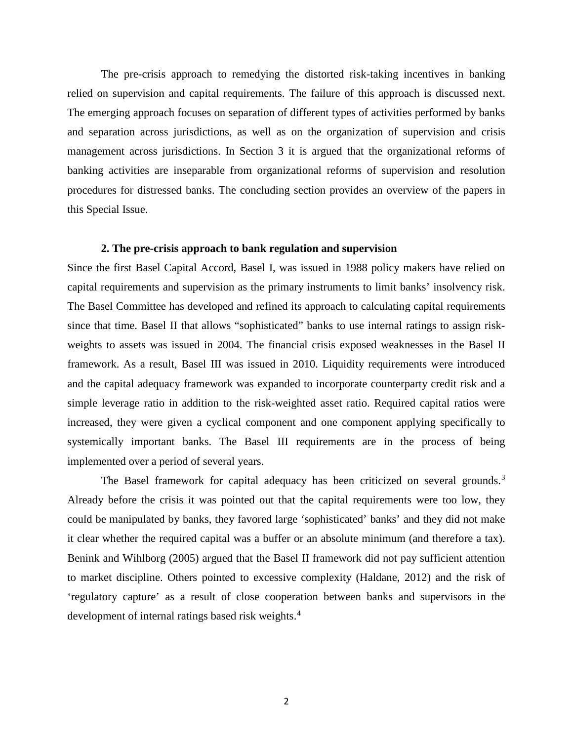The pre-crisis approach to remedying the distorted risk-taking incentives in banking relied on supervision and capital requirements. The failure of this approach is discussed next. The emerging approach focuses on separation of different types of activities performed by banks and separation across jurisdictions, as well as on the organization of supervision and crisis management across jurisdictions. In Section 3 it is argued that the organizational reforms of banking activities are inseparable from organizational reforms of supervision and resolution procedures for distressed banks. The concluding section provides an overview of the papers in this Special Issue.

#### **2. The pre-crisis approach to bank regulation and supervision**

Since the first Basel Capital Accord, Basel I, was issued in 1988 policy makers have relied on capital requirements and supervision as the primary instruments to limit banks' insolvency risk. The Basel Committee has developed and refined its approach to calculating capital requirements since that time. Basel II that allows "sophisticated" banks to use internal ratings to assign riskweights to assets was issued in 2004. The financial crisis exposed weaknesses in the Basel II framework. As a result, Basel III was issued in 2010. Liquidity requirements were introduced and the capital adequacy framework was expanded to incorporate counterparty credit risk and a simple leverage ratio in addition to the risk-weighted asset ratio. Required capital ratios were increased, they were given a cyclical component and one component applying specifically to systemically important banks. The Basel III requirements are in the process of being implemented over a period of several years.

The Basel framework for capital adequacy has been criticized on several grounds.<sup>[3](#page-12-2)</sup> Already before the crisis it was pointed out that the capital requirements were too low, they could be manipulated by banks, they favored large 'sophisticated' banks' and they did not make it clear whether the required capital was a buffer or an absolute minimum (and therefore a tax). Benink and Wihlborg (2005) argued that the Basel II framework did not pay sufficient attention to market discipline. Others pointed to excessive complexity (Haldane, 2012) and the risk of 'regulatory capture' as a result of close cooperation between banks and supervisors in the development of internal ratings based risk weights.<sup>[4](#page-12-3)</sup>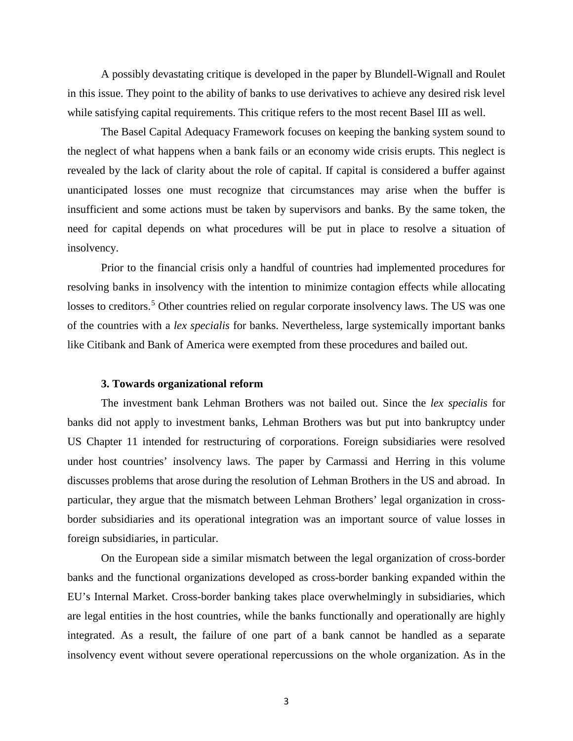A possibly devastating critique is developed in the paper by Blundell-Wignall and Roulet in this issue. They point to the ability of banks to use derivatives to achieve any desired risk level while satisfying capital requirements. This critique refers to the most recent Basel III as well.

The Basel Capital Adequacy Framework focuses on keeping the banking system sound to the neglect of what happens when a bank fails or an economy wide crisis erupts. This neglect is revealed by the lack of clarity about the role of capital. If capital is considered a buffer against unanticipated losses one must recognize that circumstances may arise when the buffer is insufficient and some actions must be taken by supervisors and banks. By the same token, the need for capital depends on what procedures will be put in place to resolve a situation of insolvency.

Prior to the financial crisis only a handful of countries had implemented procedures for resolving banks in insolvency with the intention to minimize contagion effects while allocating losses to creditors.<sup>[5](#page-12-4)</sup> Other countries relied on regular corporate insolvency laws. The US was one of the countries with a *lex specialis* for banks. Nevertheless, large systemically important banks like Citibank and Bank of America were exempted from these procedures and bailed out.

#### **3. Towards organizational reform**

The investment bank Lehman Brothers was not bailed out. Since the *lex specialis* for banks did not apply to investment banks, Lehman Brothers was but put into bankruptcy under US Chapter 11 intended for restructuring of corporations. Foreign subsidiaries were resolved under host countries' insolvency laws. The paper by Carmassi and Herring in this volume discusses problems that arose during the resolution of Lehman Brothers in the US and abroad. In particular, they argue that the mismatch between Lehman Brothers' legal organization in crossborder subsidiaries and its operational integration was an important source of value losses in foreign subsidiaries, in particular.

On the European side a similar mismatch between the legal organization of cross-border banks and the functional organizations developed as cross-border banking expanded within the EU's Internal Market. Cross-border banking takes place overwhelmingly in subsidiaries, which are legal entities in the host countries, while the banks functionally and operationally are highly integrated. As a result, the failure of one part of a bank cannot be handled as a separate insolvency event without severe operational repercussions on the whole organization. As in the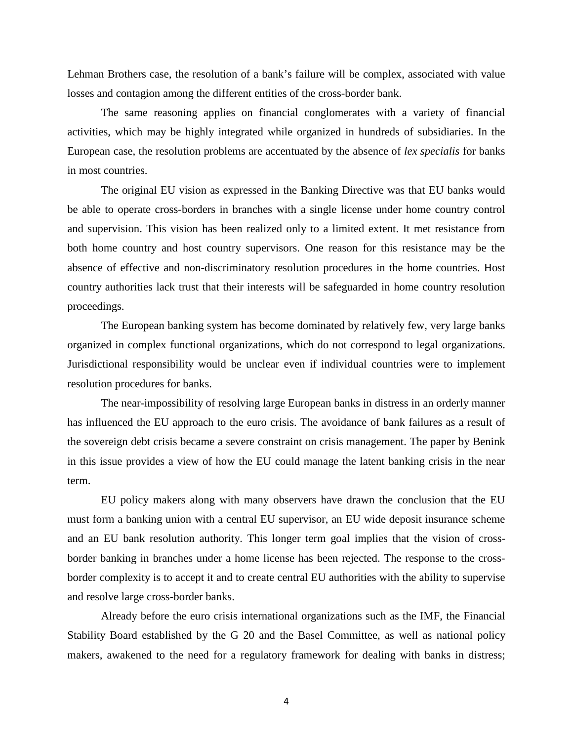Lehman Brothers case, the resolution of a bank's failure will be complex, associated with value losses and contagion among the different entities of the cross-border bank.

The same reasoning applies on financial conglomerates with a variety of financial activities, which may be highly integrated while organized in hundreds of subsidiaries. In the European case, the resolution problems are accentuated by the absence of *lex specialis* for banks in most countries.

The original EU vision as expressed in the Banking Directive was that EU banks would be able to operate cross-borders in branches with a single license under home country control and supervision. This vision has been realized only to a limited extent. It met resistance from both home country and host country supervisors. One reason for this resistance may be the absence of effective and non-discriminatory resolution procedures in the home countries. Host country authorities lack trust that their interests will be safeguarded in home country resolution proceedings.

The European banking system has become dominated by relatively few, very large banks organized in complex functional organizations, which do not correspond to legal organizations. Jurisdictional responsibility would be unclear even if individual countries were to implement resolution procedures for banks.

The near-impossibility of resolving large European banks in distress in an orderly manner has influenced the EU approach to the euro crisis. The avoidance of bank failures as a result of the sovereign debt crisis became a severe constraint on crisis management. The paper by Benink in this issue provides a view of how the EU could manage the latent banking crisis in the near term.

EU policy makers along with many observers have drawn the conclusion that the EU must form a banking union with a central EU supervisor, an EU wide deposit insurance scheme and an EU bank resolution authority. This longer term goal implies that the vision of crossborder banking in branches under a home license has been rejected. The response to the crossborder complexity is to accept it and to create central EU authorities with the ability to supervise and resolve large cross-border banks.

Already before the euro crisis international organizations such as the IMF, the Financial Stability Board established by the G 20 and the Basel Committee, as well as national policy makers, awakened to the need for a regulatory framework for dealing with banks in distress;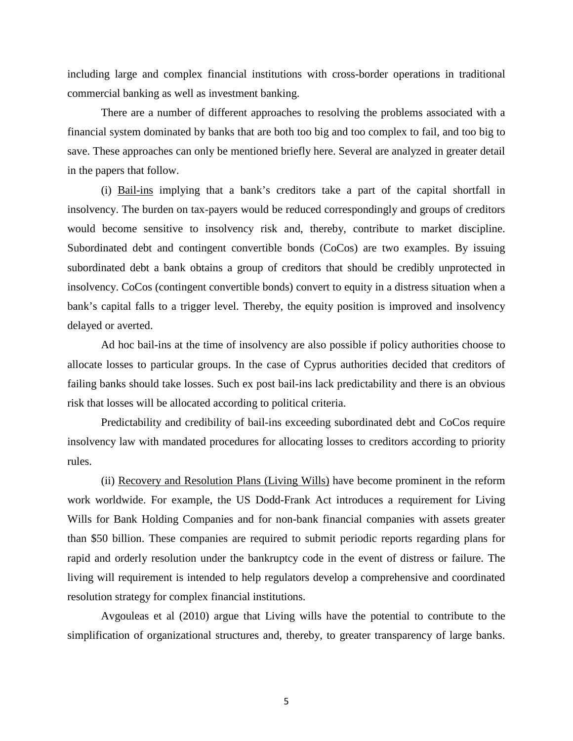including large and complex financial institutions with cross-border operations in traditional commercial banking as well as investment banking.

There are a number of different approaches to resolving the problems associated with a financial system dominated by banks that are both too big and too complex to fail, and too big to save. These approaches can only be mentioned briefly here. Several are analyzed in greater detail in the papers that follow.

(i) Bail-ins implying that a bank's creditors take a part of the capital shortfall in insolvency. The burden on tax-payers would be reduced correspondingly and groups of creditors would become sensitive to insolvency risk and, thereby, contribute to market discipline. Subordinated debt and contingent convertible bonds (CoCos) are two examples. By issuing subordinated debt a bank obtains a group of creditors that should be credibly unprotected in insolvency. CoCos (contingent convertible bonds) convert to equity in a distress situation when a bank's capital falls to a trigger level. Thereby, the equity position is improved and insolvency delayed or averted.

Ad hoc bail-ins at the time of insolvency are also possible if policy authorities choose to allocate losses to particular groups. In the case of Cyprus authorities decided that creditors of failing banks should take losses. Such ex post bail-ins lack predictability and there is an obvious risk that losses will be allocated according to political criteria.

Predictability and credibility of bail-ins exceeding subordinated debt and CoCos require insolvency law with mandated procedures for allocating losses to creditors according to priority rules.

(ii) Recovery and Resolution Plans (Living Wills) have become prominent in the reform work worldwide. For example, the US Dodd-Frank Act introduces a requirement for Living Wills for Bank Holding Companies and for non-bank financial companies with assets greater than \$50 billion. These companies are required to submit periodic reports regarding plans for rapid and orderly resolution under the bankruptcy code in the event of distress or failure. The living will requirement is intended to help regulators develop a comprehensive and coordinated resolution strategy for complex financial institutions.

Avgouleas et al (2010) argue that Living wills have the potential to contribute to the simplification of organizational structures and, thereby, to greater transparency of large banks.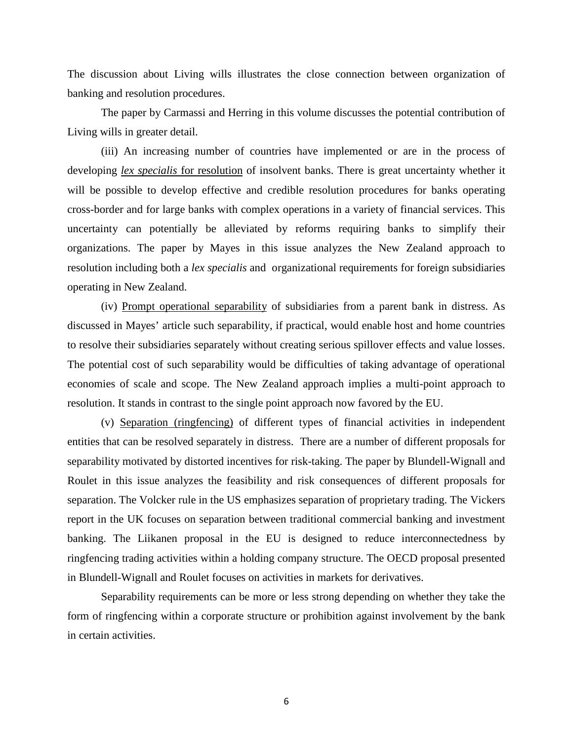The discussion about Living wills illustrates the close connection between organization of banking and resolution procedures.

The paper by Carmassi and Herring in this volume discusses the potential contribution of Living wills in greater detail.

(iii) An increasing number of countries have implemented or are in the process of developing *lex specialis* for resolution of insolvent banks. There is great uncertainty whether it will be possible to develop effective and credible resolution procedures for banks operating cross-border and for large banks with complex operations in a variety of financial services. This uncertainty can potentially be alleviated by reforms requiring banks to simplify their organizations. The paper by Mayes in this issue analyzes the New Zealand approach to resolution including both a *lex specialis* and organizational requirements for foreign subsidiaries operating in New Zealand.

(iv) Prompt operational separability of subsidiaries from a parent bank in distress. As discussed in Mayes' article such separability, if practical, would enable host and home countries to resolve their subsidiaries separately without creating serious spillover effects and value losses. The potential cost of such separability would be difficulties of taking advantage of operational economies of scale and scope. The New Zealand approach implies a multi-point approach to resolution. It stands in contrast to the single point approach now favored by the EU.

(v) Separation (ringfencing) of different types of financial activities in independent entities that can be resolved separately in distress. There are a number of different proposals for separability motivated by distorted incentives for risk-taking. The paper by Blundell-Wignall and Roulet in this issue analyzes the feasibility and risk consequences of different proposals for separation. The Volcker rule in the US emphasizes separation of proprietary trading. The Vickers report in the UK focuses on separation between traditional commercial banking and investment banking. The Liikanen proposal in the EU is designed to reduce interconnectedness by ringfencing trading activities within a holding company structure. The OECD proposal presented in Blundell-Wignall and Roulet focuses on activities in markets for derivatives.

Separability requirements can be more or less strong depending on whether they take the form of ringfencing within a corporate structure or prohibition against involvement by the bank in certain activities.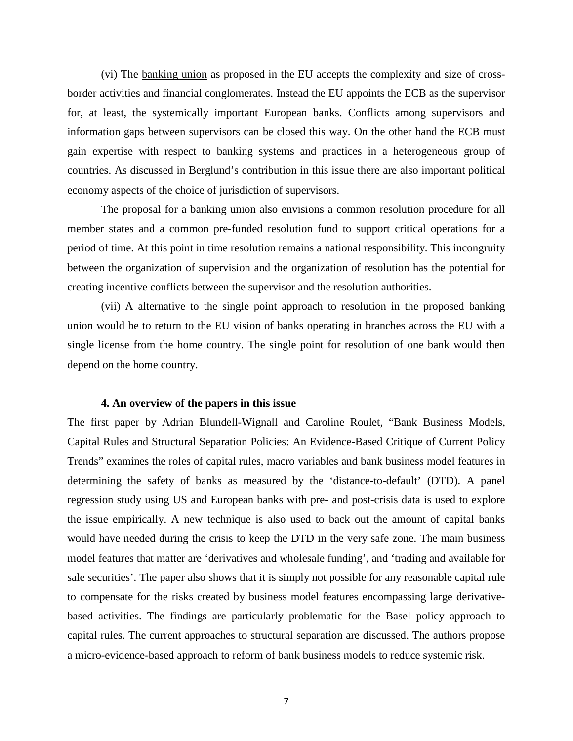(vi) The banking union as proposed in the EU accepts the complexity and size of crossborder activities and financial conglomerates. Instead the EU appoints the ECB as the supervisor for, at least, the systemically important European banks. Conflicts among supervisors and information gaps between supervisors can be closed this way. On the other hand the ECB must gain expertise with respect to banking systems and practices in a heterogeneous group of countries. As discussed in Berglund's contribution in this issue there are also important political economy aspects of the choice of jurisdiction of supervisors.

The proposal for a banking union also envisions a common resolution procedure for all member states and a common pre-funded resolution fund to support critical operations for a period of time. At this point in time resolution remains a national responsibility. This incongruity between the organization of supervision and the organization of resolution has the potential for creating incentive conflicts between the supervisor and the resolution authorities.

(vii) A alternative to the single point approach to resolution in the proposed banking union would be to return to the EU vision of banks operating in branches across the EU with a single license from the home country. The single point for resolution of one bank would then depend on the home country.

#### **4. An overview of the papers in this issue**

The first paper by Adrian Blundell-Wignall and Caroline Roulet, "Bank Business Models, Capital Rules and Structural Separation Policies: An Evidence-Based Critique of Current Policy Trends" examines the roles of capital rules, macro variables and bank business model features in determining the safety of banks as measured by the 'distance-to-default' (DTD). A panel regression study using US and European banks with pre- and post-crisis data is used to explore the issue empirically. A new technique is also used to back out the amount of capital banks would have needed during the crisis to keep the DTD in the very safe zone. The main business model features that matter are 'derivatives and wholesale funding', and 'trading and available for sale securities'. The paper also shows that it is simply not possible for any reasonable capital rule to compensate for the risks created by business model features encompassing large derivativebased activities. The findings are particularly problematic for the Basel policy approach to capital rules. The current approaches to structural separation are discussed. The authors propose a micro-evidence-based approach to reform of bank business models to reduce systemic risk.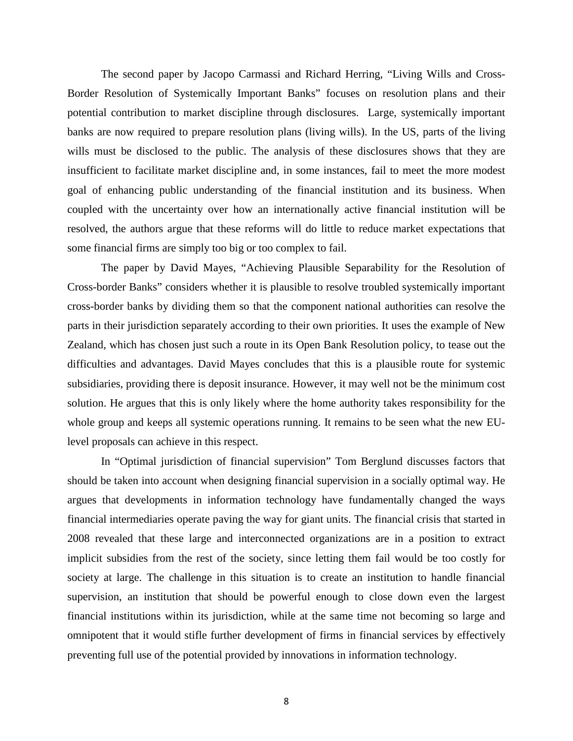The second paper by Jacopo Carmassi and Richard Herring, "Living Wills and Cross-Border Resolution of Systemically Important Banks" focuses on resolution plans and their potential contribution to market discipline through disclosures. Large, systemically important banks are now required to prepare resolution plans (living wills). In the US, parts of the living wills must be disclosed to the public. The analysis of these disclosures shows that they are insufficient to facilitate market discipline and, in some instances, fail to meet the more modest goal of enhancing public understanding of the financial institution and its business. When coupled with the uncertainty over how an internationally active financial institution will be resolved, the authors argue that these reforms will do little to reduce market expectations that some financial firms are simply too big or too complex to fail.

The paper by David Mayes, "Achieving Plausible Separability for the Resolution of Cross-border Banks" considers whether it is plausible to resolve troubled systemically important cross-border banks by dividing them so that the component national authorities can resolve the parts in their jurisdiction separately according to their own priorities. It uses the example of New Zealand, which has chosen just such a route in its Open Bank Resolution policy, to tease out the difficulties and advantages. David Mayes concludes that this is a plausible route for systemic subsidiaries, providing there is deposit insurance. However, it may well not be the minimum cost solution. He argues that this is only likely where the home authority takes responsibility for the whole group and keeps all systemic operations running. It remains to be seen what the new EUlevel proposals can achieve in this respect.

In "Optimal jurisdiction of financial supervision" Tom Berglund discusses factors that should be taken into account when designing financial supervision in a socially optimal way. He argues that developments in information technology have fundamentally changed the ways financial intermediaries operate paving the way for giant units. The financial crisis that started in 2008 revealed that these large and interconnected organizations are in a position to extract implicit subsidies from the rest of the society, since letting them fail would be too costly for society at large. The challenge in this situation is to create an institution to handle financial supervision, an institution that should be powerful enough to close down even the largest financial institutions within its jurisdiction, while at the same time not becoming so large and omnipotent that it would stifle further development of firms in financial services by effectively preventing full use of the potential provided by innovations in information technology.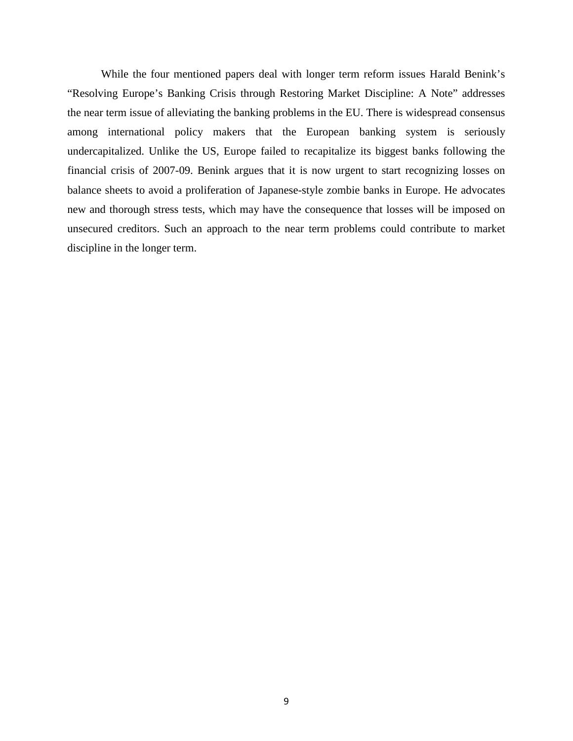While the four mentioned papers deal with longer term reform issues Harald Benink's "Resolving Europe's Banking Crisis through Restoring Market Discipline: A Note" addresses the near term issue of alleviating the banking problems in the EU. There is widespread consensus among international policy makers that the European banking system is seriously undercapitalized. Unlike the US, Europe failed to recapitalize its biggest banks following the financial crisis of 2007-09. Benink argues that it is now urgent to start recognizing losses on balance sheets to avoid a proliferation of Japanese-style zombie banks in Europe. He advocates new and thorough stress tests, which may have the consequence that losses will be imposed on unsecured creditors. Such an approach to the near term problems could contribute to market discipline in the longer term.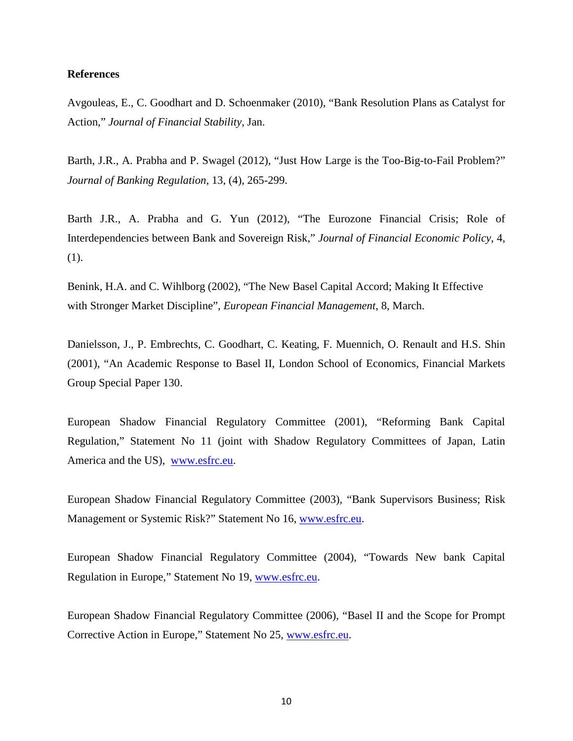#### **References**

Avgouleas, E., C. Goodhart and D. Schoenmaker (2010), "Bank Resolution Plans as Catalyst for Action," *Journal of Financial Stability*, Jan.

Barth, J.R., A. Prabha and P. Swagel (2012), "Just How Large is the Too-Big-to-Fail Problem?" *Journal of Banking Regulation*, 13, (4), 265-299.

Barth J.R., A. Prabha and G. Yun (2012), "The Eurozone Financial Crisis; Role of Interdependencies between Bank and Sovereign Risk," *Journal of Financial Economic Policy*, 4, (1).

Benink, H.A. and C. Wihlborg (2002), "The New Basel Capital Accord; Making It Effective with Stronger Market Discipline", *European Financial Management*, 8, March.

Danielsson, J., P. Embrechts, C. Goodhart, C. Keating, F. Muennich, O. Renault and H.S. Shin (2001), "An Academic Response to Basel II, London School of Economics, Financial Markets Group Special Paper 130.

European Shadow Financial Regulatory Committee (2001), "Reforming Bank Capital Regulation," Statement No 11 (joint with Shadow Regulatory Committees of Japan, Latin America and the US), [www.esfrc.eu.](http://www.esfrc.eu/)

European Shadow Financial Regulatory Committee (2003), "Bank Supervisors Business; Risk Management or Systemic Risk?" Statement No 16, [www.esfrc.eu.](http://www.esfrc.eu/)

European Shadow Financial Regulatory Committee (2004), "Towards New bank Capital Regulation in Europe," Statement No 19, [www.esfrc.eu.](http://www.esfrc.eu/)

European Shadow Financial Regulatory Committee (2006), "Basel II and the Scope for Prompt Corrective Action in Europe," Statement No 25, [www.esfrc.eu.](http://www.esfrc.eu/)